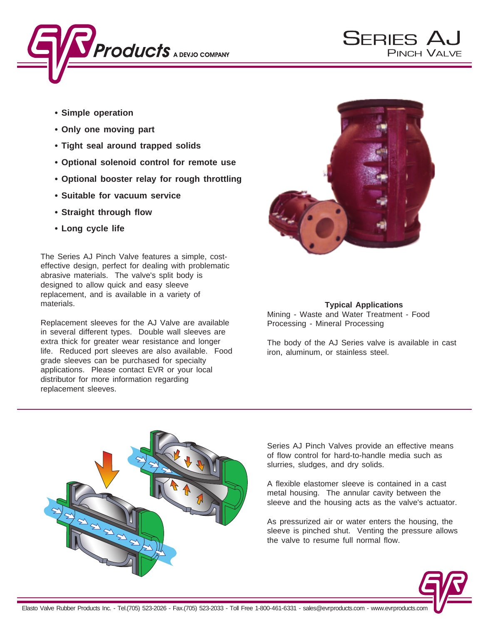

- **Simple operation**
- **Only one moving part**
- **Tight seal around trapped solids**
- **Optional solenoid control for remote use**
- **Optional booster relay for rough throttling**
- **Suitable for vacuum service**
- **Straight through flow**
- **Long cycle life**

The Series AJ Pinch Valve features a simple, costeffective design, perfect for dealing with problematic abrasive materials. The valve's split body is designed to allow quick and easy sleeve replacement, and is available in a variety of materials.

Replacement sleeves for the AJ Valve are available in several different types. Double wall sleeves are extra thick for greater wear resistance and longer life. Reduced port sleeves are also available. Food grade sleeves can be purchased for specialty applications. Please contact EVR or your local distributor for more information regarding replacement sleeves.



**SERIES AU** 

**PINCH VALVE** 

# **Typical Applications**

Mining - Waste and Water Treatment - Food Processing - Mineral Processing

The body of the AJ Series valve is available in cast iron, aluminum, or stainless steel.



Series AJ Pinch Valves provide an effective means of flow control for hard-to-handle media such as slurries, sludges, and dry solids.

A flexible elastomer sleeve is contained in a cast metal housing. The annular cavity between the sleeve and the housing acts as the valve's actuator.

As pressurized air or water enters the housing, the sleeve is pinched shut. Venting the pressure allows the valve to resume full normal flow.